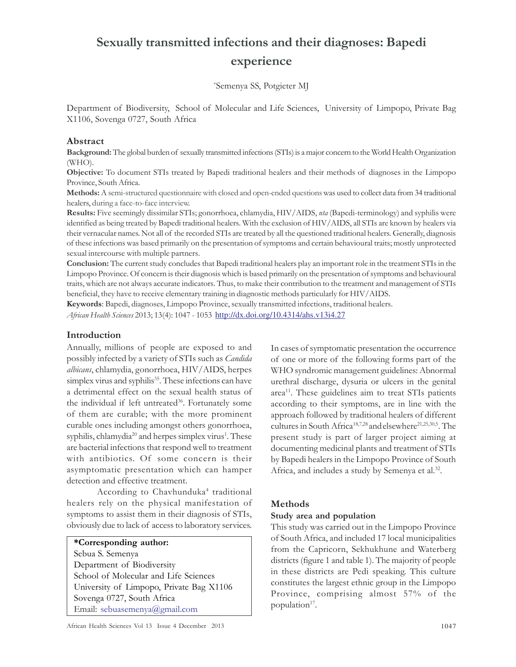# Sexually transmitted infections and their diagnoses: Bapedi experience

\*Semenya SS, Potgieter MJ

Department of Biodiversity, School of Molecular and Life Sciences, University of Limpopo, Private Bag X1106, Sovenga 0727, South Africa

## Abstract

Background: The global burden of sexually transmitted infections (STIs) is a major concern to the World Health Organization (WHO).

Objective: To document STIs treated by Bapedi traditional healers and their methods of diagnoses in the Limpopo Province, South Africa.

Methods: A semi-structured questionnaire with closed and open-ended questions was used to collect data from 34 traditional healers, during a face-to-face interview.

Results: Five seemingly dissimilar STIs; gonorrhoea, chlamydia, HIV/AIDS, nta (Bapedi-terminology) and syphilis were identified as being treated by Bapedi traditional healers. With the exclusion of HIV/AIDS, all STIs are known by healers via their vernacular names. Not all of the recorded STIs are treated by all the questioned traditional healers. Generally, diagnosis of these infections was based primarily on the presentation of symptoms and certain behavioural traits; mostly unprotected sexual intercourse with multiple partners.

Conclusion: The current study concludes that Bapedi traditional healers play an important role in the treatment STIs in the Limpopo Province. Of concern is their diagnosis which is based primarily on the presentation of symptoms and behavioural traits, which are not always accurate indicators. Thus, to make their contribution to the treatment and management of STIs beneficial, they have to receive elementary training in diagnostic methods particularly for HIV/AIDS.

Keywords: Bapedi, diagnoses, Limpopo Province, sexually transmitted infections, traditional healers. African Health Sciences 2013; 13(4): 1047 - 1053 http://dx.doi.org/10.4314/ahs.v13i4.27

## Introduction

Annually, millions of people are exposed to and possibly infected by a variety of STIs such as Candida albicans, chlamydia, gonorrhoea, HIV/AIDS, herpes simplex virus and syphilis<sup>35</sup>. These infections can have a detrimental effect on the sexual health status of the individual if left untreated<sup>36</sup>. Fortunately some of them are curable; with the more prominent curable ones including amongst others gonorrhoea, syphilis, chlamydia<sup>20</sup> and herpes simplex virus<sup>1</sup>. These are bacterial infections that respond well to treatment with antibiotics. Of some concern is their asymptomatic presentation which can hamper detection and effective treatment.

According to Chavhunduka<sup>4</sup> traditional healers rely on the physical manifestation of symptoms to assist them in their diagnosis of STIs, obviously due to lack of access to laboratory services.

#### \*Corresponding author:

Sebua S. Semenya Department of Biodiversity School of Molecular and Life Sciences University of Limpopo, Private Bag X1106 Sovenga 0727, South Africa Email: sebuasemenya@gmail.com

In cases of symptomatic presentation the occurrence of one or more of the following forms part of the WHO syndromic management guidelines: Abnormal urethral discharge, dysuria or ulcers in the genital area<sup>11</sup>. These guidelines aim to treat STIs patients according to their symptoms, are in line with the approach followed by traditional healers of different cultures in South Africa<sup>18,7,28</sup> and elsewhere<sup>21,25,30,5</sup>. The present study is part of larger project aiming at documenting medicinal plants and treatment of STIs by Bapedi healers in the Limpopo Province of South Africa, and includes a study by Semenya et al.<sup>32</sup>.

#### Methods

#### Study area and population

This study was carried out in the Limpopo Province of South Africa, and included 17 local municipalities from the Capricorn, Sekhukhune and Waterberg districts (figure 1 and table 1). The majority of people in these districts are Pedi speaking. This culture constitutes the largest ethnic group in the Limpopo Province, comprising almost 57% of the population<sup>17</sup>.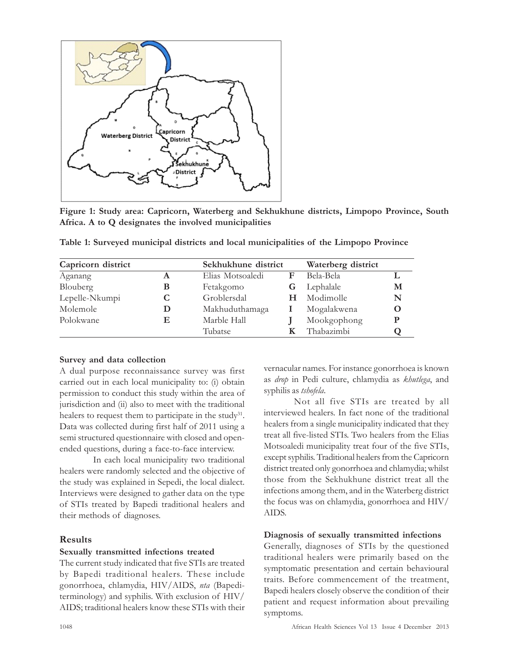

Figure 1: Study area: Capricorn, Waterberg and Sekhukhune districts, Limpopo Province, South Africa. A to Q designates the involved municipalities

| Capricorn district |   | Sekhukhune district |   | Waterberg district |   |
|--------------------|---|---------------------|---|--------------------|---|
| Aganang            | A | Elias Motsoaledi    | F | Bela-Bela          |   |
| Blouberg           | В | Fetakgomo           |   | Lephalale          | М |
| Lepelle-Nkumpi     | C | Groblersdal         | н | Modimolle          | N |
| Molemole           | D | Makhuduthamaga      |   | Mogalakwena        | O |
| Polokwane          | Е | Marble Hall         |   | Mookgophong        |   |
|                    |   | Tubatse             |   | Thabazimbi         |   |

Table 1: Surveyed municipal districts and local municipalities of the Limpopo Province

#### Survey and data collection

A dual purpose reconnaissance survey was first carried out in each local municipality to: (i) obtain permission to conduct this study within the area of jurisdiction and (ii) also to meet with the traditional healers to request them to participate in the study<sup>31</sup>. Data was collected during first half of 2011 using a semi structured questionnaire with closed and openended questions, during a face-to-face interview.

 In each local municipality two traditional healers were randomly selected and the objective of the study was explained in Sepedi, the local dialect. Interviews were designed to gather data on the type of STIs treated by Bapedi traditional healers and their methods of diagnoses.

## Results

#### Sexually transmitted infections treated

The current study indicated that five STIs are treated by Bapedi traditional healers. These include gonorrhoea, chlamydia, HIV/AIDS, nta (Bapediterminology) and syphilis. With exclusion of HIV/ AIDS; traditional healers know these STIs with their vernacular names. For instance gonorrhoea is known as drop in Pedi culture, chlamydia as khutlega, and syphilis as tshofela.

Not all five STIs are treated by all interviewed healers. In fact none of the traditional healers from a single municipality indicated that they treat all five-listed STIs. Two healers from the Elias Motsoaledi municipality treat four of the five STIs, except syphilis. Traditional healers from the Capricorn district treated only gonorrhoea and chlamydia; whilst those from the Sekhukhune district treat all the infections among them, and in the Waterberg district the focus was on chlamydia, gonorrhoea and HIV/ AIDS.

#### Diagnosis of sexually transmitted infections

Generally, diagnoses of STIs by the questioned traditional healers were primarily based on the symptomatic presentation and certain behavioural traits. Before commencement of the treatment, Bapedi healers closely observe the condition of their patient and request information about prevailing symptoms.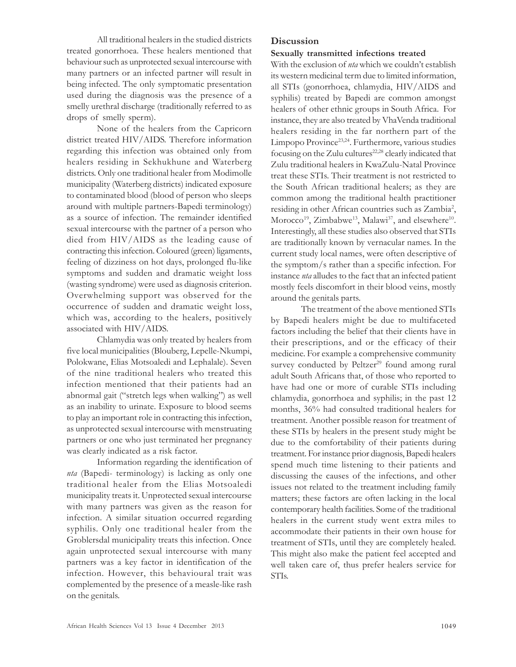All traditional healers in the studied districts treated gonorrhoea. These healers mentioned that behaviour such as unprotected sexual intercourse with many partners or an infected partner will result in being infected. The only symptomatic presentation used during the diagnosis was the presence of a smelly urethral discharge (traditionally referred to as drops of smelly sperm).

None of the healers from the Capricorn district treated HIV/AIDS. Therefore information regarding this infection was obtained only from healers residing in Sekhukhune and Waterberg districts. Only one traditional healer from Modimolle municipality (Waterberg districts) indicated exposure to contaminated blood (blood of person who sleeps around with multiple partners-Bapedi terminology) as a source of infection. The remainder identified sexual intercourse with the partner of a person who died from HIV/AIDS as the leading cause of contracting this infection. Coloured (green) ligaments, feeling of dizziness on hot days, prolonged flu-like symptoms and sudden and dramatic weight loss (wasting syndrome) were used as diagnosis criterion. Overwhelming support was observed for the occurrence of sudden and dramatic weight loss, which was, according to the healers, positively associated with HIV/AIDS.

Chlamydia was only treated by healers from five local municipalities (Blouberg, Lepelle-Nkumpi, Polokwane, Elias Motsoaledi and Lephalale). Seven of the nine traditional healers who treated this infection mentioned that their patients had an abnormal gait ("stretch legs when walking") as well as an inability to urinate. Exposure to blood seems to play an important role in contracting this infection, as unprotected sexual intercourse with menstruating partners or one who just terminated her pregnancy was clearly indicated as a risk factor.

Information regarding the identification of nta (Bapedi- terminology) is lacking as only one traditional healer from the Elias Motsoaledi municipality treats it. Unprotected sexual intercourse with many partners was given as the reason for infection. A similar situation occurred regarding syphilis. Only one traditional healer from the Groblersdal municipality treats this infection. Once again unprotected sexual intercourse with many partners was a key factor in identification of the infection. However, this behavioural trait was complemented by the presence of a measle-like rash on the genitals.

# **Discussion**

#### Sexually transmitted infections treated

With the exclusion of *nta* which we couldn't establish its western medicinal term due to limited information, all STIs (gonorrhoea, chlamydia, HIV/AIDS and syphilis) treated by Bapedi are common amongst healers of other ethnic groups in South Africa. For instance, they are also treated by VhaVenda traditional healers residing in the far northern part of the Limpopo Province23,24 . Furthermore, various studies focusing on the Zulu cultures<sup>22,28</sup> clearly indicated that Zulu traditional healers in KwaZulu-Natal Province treat these STIs. Their treatment is not restricted to the South African traditional healers; as they are common among the traditional health practitioner residing in other African countries such as Zambia<sup>2</sup>,  $Morocco<sup>19</sup>, Zimbabwe<sup>13</sup>, Malawi<sup>37</sup>, and elsewhere<sup>10</sup>.$ Interestingly, all these studies also observed that STIs are traditionally known by vernacular names. In the current study local names, were often descriptive of the symptom/s rather than a specific infection. For instance nta alludes to the fact that an infected patient mostly feels discomfort in their blood veins, mostly around the genitals parts.

The treatment of the above mentioned STIs by Bapedi healers might be due to multifaceted factors including the belief that their clients have in their prescriptions, and or the efficacy of their medicine. For example a comprehensive community survey conducted by Peltzer<sup>29</sup> found among rural adult South Africans that, of those who reported to have had one or more of curable STIs including chlamydia, gonorrhoea and syphilis; in the past 12 months, 36% had consulted traditional healers for treatment. Another possible reason for treatment of these STIs by healers in the present study might be due to the comfortability of their patients during treatment. For instance prior diagnosis, Bapedi healers spend much time listening to their patients and discussing the causes of the infections, and other issues not related to the treatment including family matters; these factors are often lacking in the local contemporary health facilities. Some of the traditional healers in the current study went extra miles to accommodate their patients in their own house for treatment of STIs, until they are completely healed. This might also make the patient feel accepted and well taken care of, thus prefer healers service for STIs.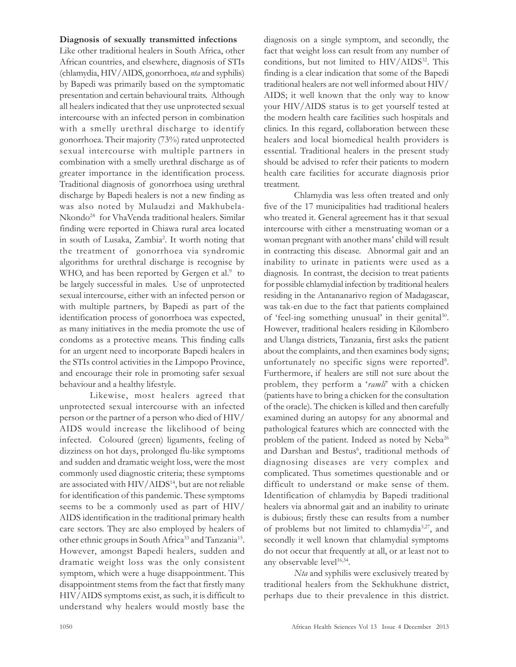#### Diagnosis of sexually transmitted infections

Like other traditional healers in South Africa, other African countries, and elsewhere, diagnosis of STIs (chlamydia, HIV/AIDS, gonorrhoea, nta and syphilis) by Bapedi was primarily based on the symptomatic presentation and certain behavioural traits. Although all healers indicated that they use unprotected sexual intercourse with an infected person in combination with a smelly urethral discharge to identify gonorrhoea. Their majority (73%) rated unprotected sexual intercourse with multiple partners in combination with a smelly urethral discharge as of greater importance in the identification process. Traditional diagnosis of gonorrhoea using urethral discharge by Bapedi healers is not a new finding as was also noted by Mulaudzi and Makhubela-Nkondo<sup>24</sup> for VhaVenda traditional healers. Similar finding were reported in Chiawa rural area located in south of Lusaka, Zambia<sup>2</sup> . It worth noting that the treatment of gonorrhoea via syndromic algorithms for urethral discharge is recognise by WHO, and has been reported by Gergen et al.<sup>9</sup> to be largely successful in males. Use of unprotected sexual intercourse, either with an infected person or with multiple partners, by Bapedi as part of the identification process of gonorrhoea was expected, as many initiatives in the media promote the use of condoms as a protective means. This finding calls for an urgent need to incorporate Bapedi healers in the STIs control activities in the Limpopo Province, and encourage their role in promoting safer sexual behaviour and a healthy lifestyle.

Likewise, most healers agreed that unprotected sexual intercourse with an infected person or the partner of a person who died of HIV/ AIDS would increase the likelihood of being infected. Coloured (green) ligaments, feeling of dizziness on hot days, prolonged flu-like symptoms and sudden and dramatic weight loss, were the most commonly used diagnostic criteria; these symptoms are associated with HIV/AIDS<sup>14</sup>, but are not reliable for identification of this pandemic. These symptoms seems to be a commonly used as part of HIV/ AIDS identification in the traditional primary health care sectors. They are also employed by healers of other ethnic groups in South Africa<sup>33</sup> and Tanzania<sup>15</sup>. However, amongst Bapedi healers, sudden and dramatic weight loss was the only consistent symptom, which were a huge disappointment. This disappointment stems from the fact that firstly many HIV/AIDS symptoms exist, as such, it is difficult to understand why healers would mostly base the

diagnosis on a single symptom, and secondly, the fact that weight loss can result from any number of conditions, but not limited to HIV/AIDS<sup>32</sup>. This finding is a clear indication that some of the Bapedi traditional healers are not well informed about HIV/ AIDS; it well known that the only way to know your HIV/AIDS status is to get yourself tested at the modern health care facilities such hospitals and clinics. In this regard, collaboration between these healers and local biomedical health providers is essential. Traditional healers in the present study should be advised to refer their patients to modern health care facilities for accurate diagnosis prior treatment.

Chlamydia was less often treated and only five of the 17 municipalities had traditional healers who treated it. General agreement has it that sexual intercourse with either a menstruating woman or a woman pregnant with another mans' child will result in contracting this disease. Abnormal gait and an inability to urinate in patients were used as a diagnosis. In contrast, the decision to treat patients for possible chlamydial infection by traditional healers residing in the Antananarivo region of Madagascar, was tak-en due to the fact that patients complained of 'feel-ing something unusual' in their genital<sup>30</sup>. However, traditional healers residing in Kilombero and Ulanga districts, Tanzania, first asks the patient about the complaints, and then examines body signs; unfortunately no specific signs were reported<sup>8</sup>. Furthermore, if healers are still not sure about the problem, they perform a 'ramli' with a chicken (patients have to bring a chicken for the consultation of the oracle). The chicken is killed and then carefully examined during an autopsy for any abnormal and pathological features which are connected with the problem of the patient. Indeed as noted by Neba<sup>26</sup> and Darshan and Bestus<sup>6</sup>, traditional methods of diagnosing diseases are very complex and complicated. Thus sometimes questionable and or difficult to understand or make sense of them. Identification of chlamydia by Bapedi traditional healers via abnormal gait and an inability to urinate is dubious; firstly these can results from a number of problems but not limited to chlamydia3,27, and secondly it well known that chlamydial symptoms do not occur that frequently at all, or at least not to any observable level<sup>16,34</sup>.

Nta and syphilis were exclusively treated by traditional healers from the Sekhukhune district, perhaps due to their prevalence in this district.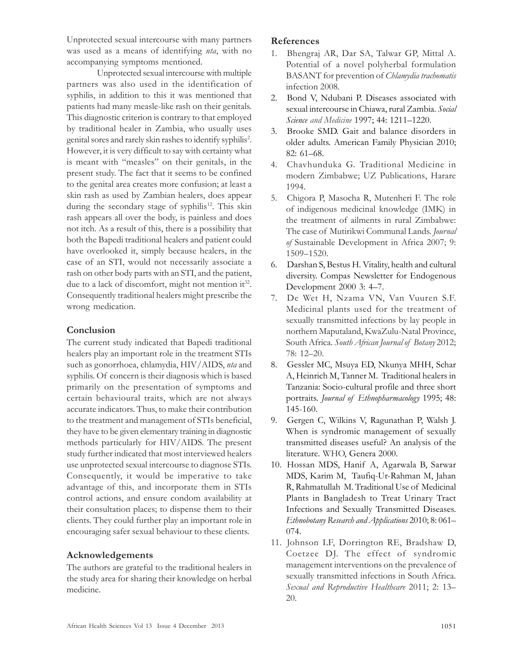Unprotected sexual intercourse with many partners was used as a means of identifying *nta*, with no accompanying symptoms mentioned.

Unprotected sexual intercourse with multiple partners was also used in the identification of syphilis, in addition to this it was mentioned that patients had many measle-like rash on their genitals. This diagnostic criterion is contrary to that employed by traditional healer in Zambia, who usually uses genital sores and rarely skin rashes to identify syphilis<sup>2</sup>. However, it is very difficult to say with certainty what is meant with "measles" on their genitals, in the present study. The fact that it seems to be confined to the genital area creates more confusion; at least a skin rash as used by Zambian healers, does appear during the secondary stage of syphilis<sup>12</sup>. This skin rash appears all over the body, is painless and does not itch. As a result of this, there is a possibility that both the Bapedi traditional healers and patient could have overlooked it, simply because healers, in the case of an STI, would not necessarily associate a rash on other body parts with an STI, and the patient, due to a lack of discomfort, might not mention it<sup>32</sup>. Consequently traditional healers might prescribe the wrong medication.

## Conclusion

The current study indicated that Bapedi traditional healers play an important role in the treatment STIs such as gonorrhoea, chlamydia, HIV/AIDS, nta and syphilis. Of concern is their diagnosis which is based primarily on the presentation of symptoms and certain behavioural traits, which are not always accurate indicators. Thus, to make their contribution to the treatment and management of STIs beneficial, they have to be given elementary training in diagnostic methods particularly for HIV/AIDS. The present study further indicated that most interviewed healers use unprotected sexual intercourse to diagnose STIs. Consequently, it would be imperative to take advantage of this, and incorporate them in STIs control actions, and ensure condom availability at their consultation places; to dispense them to their clients. They could further play an important role in encouraging safer sexual behaviour to these clients.

## Acknowledgements

The authors are grateful to the traditional healers in the study area for sharing their knowledge on herbal medicine.

## References

- 1. Bhengraj AR, Dar SA, Talwar GP, Mittal A. Potential of a novel polyherbal formulation BASANT for prevention of Chlamydia trachomatis infection 2008.
- 2. Bond V, Ndubani P. Diseases associated with sexual intercourse in Chiawa, rural Zambia. Social Science and Medicine 1997; 44: 1211–1220.
- 3. Brooke SMD. Gait and balance disorders in older adults. American Family Physician 2010; 82: 61–68.
- 4. Chavhunduka G. Traditional Medicine in modern Zimbabwe; UZ Publications, Harare 1994.
- 5. Chigora P, Masocha R, Mutenheri F. The role of indigenous medicinal knowledge (IMK) in the treatment of ailments in rural Zimbabwe: The case of Mutirikwi Communal Lands. Journal of Sustainable Development in Africa 2007; 9: 1509–1520.
- 6. Darshan S, Bestus H. Vitality, health and cultural diversity. Compas Newsletter for Endogenous Development 2000 3: 4–7.
- 7. De Wet H, Nzama VN, Van Vuuren S.F. Medicinal plants used for the treatment of sexually transmitted infections by lay people in northern Maputaland, KwaZulu-Natal Province, South Africa. South African Journal of Botany 2012; 78: 12–20.
- 8. Gessler MC, Msuya ED, Nkunya MHH, Schar A, Heinrich M, Tanner M. Traditional healers in Tanzania: Socio-cultural profile and three short portraits. Journal of Ethnopharmacology 1995; 48: 145-160.
- 9. Gergen C, Wilkins V, Ragunathan P, Walsh J. When is syndromic management of sexually transmitted diseases useful? An analysis of the literature. WHO, Genera 2000.
- 10. Hossan MDS, Hanif A, Agarwala B, Sarwar MDS, Karim M, Taufiq-Ur-Rahman M, Jahan R, Rahmatullah M. Traditional Use of Medicinal Plants in Bangladesh to Treat Urinary Tract Infections and Sexually Transmitted Diseases. Ethnobotany Research and Applications 2010; 8: 061– 074.
- 11. Johnson LF, Dorrington RE, Bradshaw D, Coetzee DJ. The effect of syndromic management interventions on the prevalence of sexually transmitted infections in South Africa. Sexual and Reproductive Healthcare 2011; 2: 13– 20.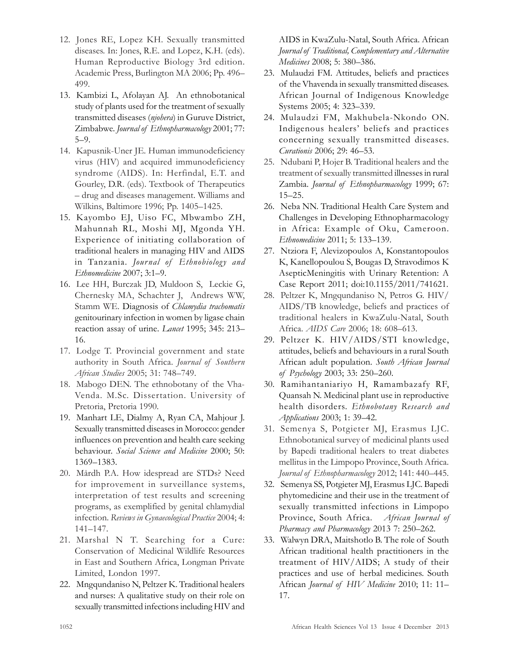- 12. Jones RE, Lopez KH. Sexually transmitted diseases. In: Jones, R.E. and Lopez, K.H. (eds). Human Reproductive Biology 3rd edition. Academic Press, Burlington MA 2006; Pp. 496– 499.
- 13. Kambizi L, Afolayan AJ. An ethnobotanical study of plants used for the treatment of sexually transmitted diseases (njohera) in Guruve District, Zimbabwe. Journal of Ethnopharmacology 2001; 77: 5–9.
- 14. Kapusnik-Uner JE. Human immunodeficiency virus (HIV) and acquired immunodeficiency syndrome (AIDS). In: Herfindal, E.T. and Gourley, D.R. (eds). Textbook of Therapeutics – drug and diseases management. Williams and Wilkins, Baltimore 1996; Pp. 1405–1425.
- 15. Kayombo EJ, Uiso FC, Mbwambo ZH, Mahunnah RL, Moshi MJ, Mgonda YH. Experience of initiating collaboration of traditional healers in managing HIV and AIDS in Tanzania. Journal of Ethnobiology and Ethnomedicine 2007; 3:1–9.
- 16. Lee HH, Burczak JD, Muldoon S, Leckie G, Chernesky MA, Schachter J, Andrews WW, Stamm WE. Diagnosis of Chlamydia trachomatis genitourinary infection in women by ligase chain reaction assay of urine. Lancet 1995; 345: 213-16.
- 17. Lodge T. Provincial government and state authority in South Africa. Journal of Southern African Studies 2005; 31: 748–749.
- 18. Mabogo DEN. The ethnobotany of the Vha-Venda. M.Sc. Dissertation. University of Pretoria, Pretoria 1990.
- 19. Manhart LE, Dialmy A, Ryan CA, Mahjour J. Sexually transmitted diseases in Morocco: gender influences on prevention and health care seeking behaviour. Social Science and Medicine 2000; 50: 1369–1383.
- 20. Mårdh P.A. How idespread are STDs? Need for improvement in surveillance systems, interpretation of test results and screening programs, as exemplified by genital chlamydial infection. Reviews in Gynaecological Practice 2004; 4: 141–147.
- 21. Marshal N T. Searching for a Cure: Conservation of Medicinal Wildlife Resources in East and Southern Africa, Longman Private Limited, London 1997.
- 22. Mngqundaniso N, Peltzer K. Traditional healers and nurses: A qualitative study on their role on sexually transmitted infections including HIV and

AIDS in KwaZulu-Natal, South Africa. African Journal of Traditional, Complementary and Alternative Medicines 2008; 5: 380–386.

- 23. Mulaudzi FM. Attitudes, beliefs and practices of the Vhavenda in sexually transmitted diseases. African Journal of Indigenous Knowledge Systems 2005; 4: 323–339.
- 24. Mulaudzi FM, Makhubela-Nkondo ON. Indigenous healers' beliefs and practices concerning sexually transmitted diseases. Curationis 2006; 29: 46–53.
- 25. Ndubani P, Hojer B. Traditional healers and the treatment of sexually transmitted illnesses in rural Zambia. Journal of Ethnopharmacology 1999; 67: 15–25.
- 26. Neba NN. Traditional Health Care System and Challenges in Developing Ethnopharmacology in Africa: Example of Oku, Cameroon. Ethnomedicine 2011; 5: 133–139.
- 27. Ntziora F, Alevizopoulos A, Konstantopoulos K, Kanellopoulou S, Bougas D, Stravodimos K AsepticMeningitis with Urinary Retention: A Case Report 2011; doi:10.1155/2011/741621.
- 28. Peltzer K, Mngqundaniso N, Petros G. HIV/ AIDS/TB knowledge, beliefs and practices of traditional healers in KwaZulu-Natal, South Africa. AIDS Care 2006; 18: 608–613.
- 29. Peltzer K. HIV/AIDS/STI knowledge, attitudes, beliefs and behaviours in a rural South African adult population. South African Journal of Psychology 2003; 33: 250–260.
- 30. Ramihantaniariyo H, Ramambazafy RF, Quansah N. Medicinal plant use in reproductive health disorders. Ethnobotany Research and Applications 2003; 1: 39–42.
- 31. Semenya S, Potgieter MJ, Erasmus LJC. Ethnobotanical survey of medicinal plants used by Bapedi traditional healers to treat diabetes mellitus in the Limpopo Province, South Africa. Journal of Ethnopharmacology 2012; 141: 440–445.
- 32. Semenya SS, Potgieter MJ, Erasmus LJC. Bapedi phytomedicine and their use in the treatment of sexually transmitted infections in Limpopo Province, South Africa. African Journal of Pharmacy and Pharmacology 2013 7: 250-262.
- 33. Walwyn DRA, Maitshotlo B. The role of South African traditional health practitioners in the treatment of HIV/AIDS; A study of their practices and use of herbal medicines. South African Journal of HIV Medicine 2010; 11: 11– 17.